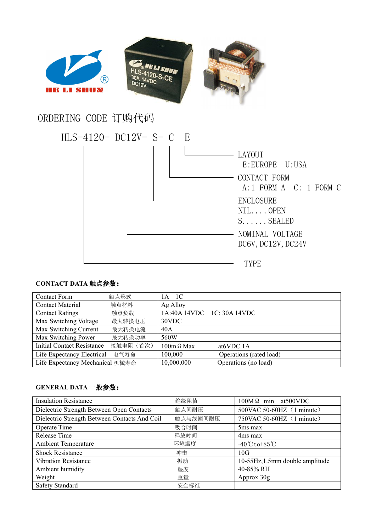

## ORDERING CODE 订购代码



## **CONTACT DATA** 触点参数:

| <b>Contact Form</b>               | 触点形式      | 1A 1C             |                            |
|-----------------------------------|-----------|-------------------|----------------------------|
| <b>Contact Material</b>           | 触点材料      | Ag Alloy          |                            |
| <b>Contact Ratings</b>            | 触点负载      |                   | 1A:40A 14VDC 1C: 30A 14VDC |
| Max Switching Voltage             | 最大转换电压    | 30VDC             |                            |
| Max Switching Current             | 最大转换电流    | 40A               |                            |
| Max Switching Power               | 最大转换功率    | 560W              |                            |
| <b>Initial Contact Resistance</b> | 接触电阻 (首次) | $100m \Omega$ Max | at6VDC 1A                  |
| Life Expectancy Electrical        | 电气寿命      | 100,000           | Operations (rated load)    |
| Life Expectancy Mechanical 机械寿命   |           | 10,000,000        | Operations (no load)       |

## **GENERAL DATA** 一般参数:

| <b>Insulation Resistance</b>                  | 绝缘阻值     | $100M\Omega$ min at 500 VDC       |
|-----------------------------------------------|----------|-----------------------------------|
| Dielectric Strength Between Open Contacts     | 触点间耐压    | 500VAC 50-60HZ (1 minute)         |
| Dielectric Strength Between Contacts And Coil | 触点与线圈间耐压 | 750VAC 50-60HZ (1 minute)         |
| Operate Time                                  | 吸合时间     | 5 <sub>ms</sub> max               |
| Release Time                                  | 释放时间     | 4ms max                           |
| <b>Ambient Temperature</b>                    | 环境温度     | $-40^{\circ}$ Cto+85 $^{\circ}$ C |
| <b>Shock Resistance</b>                       | 冲击       | 10G                               |
| <b>Vibration Resistance</b>                   | 振动       | 10-55Hz, 1.5mm double amplitude   |
| Ambient humidity                              | 湿度       | 40-85% RH                         |
| Weight                                        | 重量       | Approx 30g                        |
| Safety Standard                               | 安全标准     |                                   |